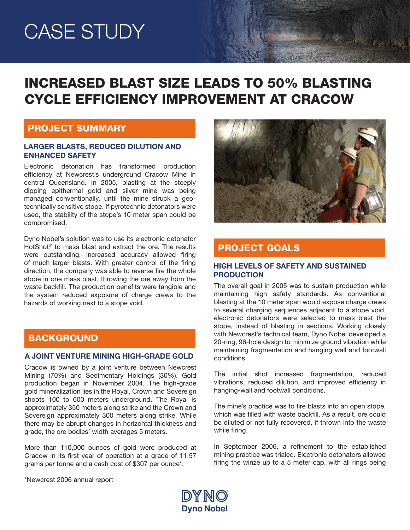# CASE STUDY

# INCREASED BLAST SIZE LEADS TO 50% BLASTING CYCLE EFFICIENCY IMPROVEMENT AT CRACOW

### PROJECT SUMMARY

#### LARGER BLASTS, REDUCED DILUTION AND ENHANCED SAFETY

Electronic detonation has transformed production efficiency at Newcrest's underground Cracow Mine in central Queensland. In 2005, blasting at the steeply dipping epithermal gold and silver mine was being managed conventionally, until the mine struck a geotechnically sensitive stope. If pyrotechnic detonators were used, the stability of the stope's 10 meter span could be compromised.

Dyno Nobel's solution was to use its electronic detonator HotShot® to mass blast and extract the ore. The results were outstanding. Increased accuracy allowed firing of much larger blasts. With greater control of the firing direction, the company was able to reverse fire the whole stope in one mass blast, throwing the ore away from the waste backfill. The production benefits were tangible and the system reduced exposure of charge crews to the hazards of working next to a stope void.

# BACKGROUND

#### A JOINT VENTURE MINING HIGH-GRADE GOLD

Cracow is owned by a joint venture between Newcrest Mining (70%) and Sedimentary Holdings (30%). Gold production began in November 2004. The high-grade gold mineralization lies in the Royal, Crown and Sovereign shoots 100 to 600 meters underground. The Royal is approximately 350 meters along strike and the Crown and Sovereign approximately 300 meters along strike. While there may be abrupt changes in horizontal thickness and grade, the ore bodies' width averages 5 meters.

More than 110,000 ounces of gold were produced at Cracow in its first year of operation at a grade of 11.57 grams per tonne and a cash cost of \$307 per ounce\*.



Maria Carlos

# PROJECT GOALS

#### HIGH LEVELS OF SAFETY AND SUSTAINED PRODUCTION

The overall goal in 2005 was to sustain production while maintaining high safety standards. As conventional blasting at the 10 meter span would expose charge crews to several charging sequences adjacent to a stope void, electronic detonators were selected to mass blast the stope, instead of blasting in sections. Working closely with Newcrest's technical team, Dyno Nobel developed a 20-ring, 96-hole design to minimize ground vibration while maintaining fragmentation and hanging wall and footwall conditions.

The initial shot increased fragmentation, reduced vibrations, reduced dilution, and improved efficiency in hanging-wall and footwall conditions.

The mine's practice was to fire blasts into an open stope, which was filled with waste backfill. As a result, ore could be diluted or not fully recovered, if thrown into the waste while firing.

In September 2006, a refinement to the established mining practice was trialed. Electronic detonators allowed firing the winze up to a 5 meter cap, with all rings being

\*Newcrest 2006 annual report